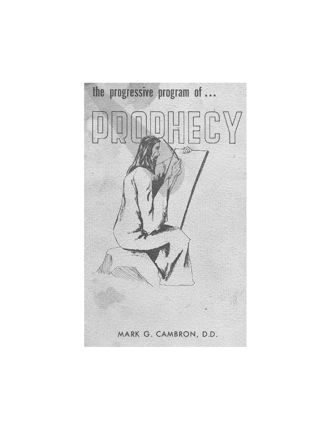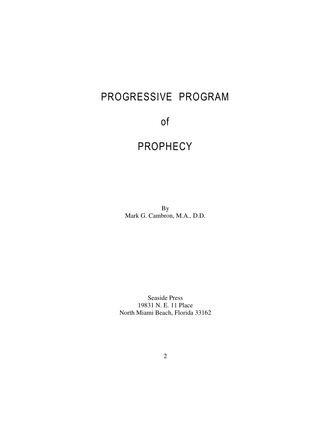# PROGRESSIVE PROGRAM

## of

## PROPHECY

By Mark G. Cambron, M.A., D.D.

Seaside Press 19831 N. E. 11 Place North Miami Beach, Florida 33162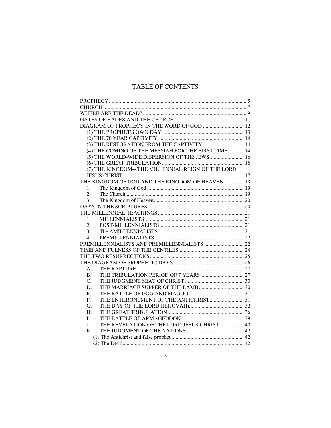## TABLE OF CONTENTS

| DIAGRAM OF PROPHECY IN THE WORD OF GOD  12                    |  |
|---------------------------------------------------------------|--|
|                                                               |  |
|                                                               |  |
| (3) THE RESTORATION FROM THE CAPTIVITY 14                     |  |
| (4) THE COMING OF THE MESSIAH FOR THE FIRST TIME.  14         |  |
| (5) THE WORLD-WIDE DISPERSION OF THE JEWS 16                  |  |
|                                                               |  |
| (7) THE KINGDOM-- THE MILLENNIAL REIGN OF THE LORD            |  |
|                                                               |  |
| THE KINGDOM OF GOD AND THE KINGDOM OF HEAVEN  18              |  |
| 1.                                                            |  |
| 2.                                                            |  |
| 3.                                                            |  |
|                                                               |  |
|                                                               |  |
| 1.                                                            |  |
| 2.                                                            |  |
| 3.                                                            |  |
| 4.                                                            |  |
|                                                               |  |
|                                                               |  |
|                                                               |  |
|                                                               |  |
| А.                                                            |  |
| $\bf{B}$ .                                                    |  |
| $C_{\cdot}$                                                   |  |
| D.                                                            |  |
| Ε.                                                            |  |
| THE ENTHRONEMENT OF THE ANTICHRIST 31<br>$\mathbf{F}_{\cdot}$ |  |
| G.                                                            |  |
| Η.                                                            |  |
| L                                                             |  |
| THE REVELATION OF THE LORD JESUS CHRIST 40<br>J.              |  |
| K.                                                            |  |
|                                                               |  |
|                                                               |  |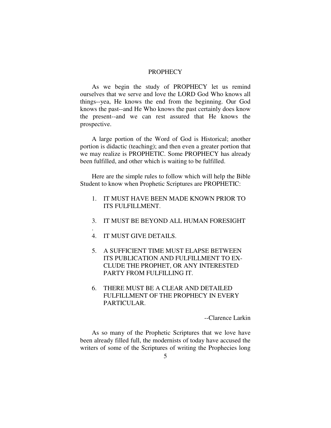## **PROPHECY**

As we begin the study of PROPHECY let us remind ourselves that we serve and love the LORD God Who knows all things--yea, He knows the end from the beginning. Our God knows the past--and He Who knows the past certainly does know the present--and we can rest assured that He knows the prospective.

A large portion of the Word of God is Historical; another portion is didactic (teaching); and then even a greater portion that we may realize is PROPHETIC. Some PROPHECY has already been fulfilled, and other which is waiting to be fulfilled.

Here are the simple rules to follow which will help the Bible Student to know when Prophetic Scriptures are PROPHETIC:

- 1. IT MUST HAVE BEEN MADE KNOWN PRIOR TO ITS FULFILLMENT.
- 3. IT MUST BE BEYOND ALL HUMAN FORESIGHT
- 4. IT MUST GIVE DETAILS.

.

- 5. A SUFFICIENT TIME MUST ELAPSE BETWEEN ITS PUBLICATION AND FULFILLMENT TO EX-CLUDE THE PROPHET, OR ANY INTERESTED PARTY FROM FULFILLING IT.
- 6. THERE MUST BE A CLEAR AND DETAILED FULFILLMENT OF THE PROPHECY IN EVERY PARTICULAR.

--Clarence Larkin

As so many of the Prophetic Scriptures that we love have been already filled full, the modernists of today have accused the writers of some of the Scriptures of writing the Prophecies long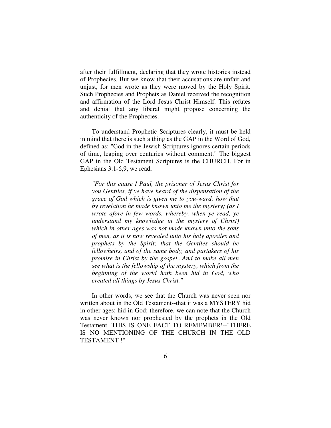after their fulfillment, declaring that they wrote histories instead of Prophecies. But we know that their accusations are unfair and unjust, for men wrote as they were moved by the Holy Spirit. Such Prophecies and Prophets as Daniel received the recognition and affirmation of the Lord Jesus Christ Himself. This refutes and denial that any liberal might propose concerning the authenticity of the Prophecies.

To understand Prophetic Scriptures clearly, it must be held in mind that there is such a thing as the GAP in the Word of God, defined as: "God in the Jewish Scriptures ignores certain periods of time, leaping over centuries without comment." The biggest GAP in the Old Testament Scriptures is the CHURCH. For in Ephesians 3:1-6,9, we read,

*"For this cause I Paul, the prisoner of Jesus Christ for you Gentiles, if ye have heard of the dispensation of the grace of God which is given me to you-ward: how that by revelation he made known unto me the mystery; (as I wrote afore in few words, whereby, when ye read, ye understand my knowledge in the mystery of Christ) which in other ages was not made known unto the sons of men, as it is now revealed unto his holy apostles and prophets by the Spirit; that the Gentiles should be fellowheirs, and of the same body, and partakers of his promise in Christ by the gospel...And to make all men see what is the fellowship of the mystery, which from the beginning of the world hath been hid in God, who created all things by Jesus Christ."* 

In other words, we see that the Church was never seen nor written about in the Old Testament--that it was a MYSTERY hid in other ages; hid in God; therefore, we can note that the Church was never known nor prophesied by the prophets in the Old Testament. THIS IS ONE FACT TO REMEMBER!--"THERE IS NO MENTIONING OF THE CHURCH IN THE OLD TESTAMENT !"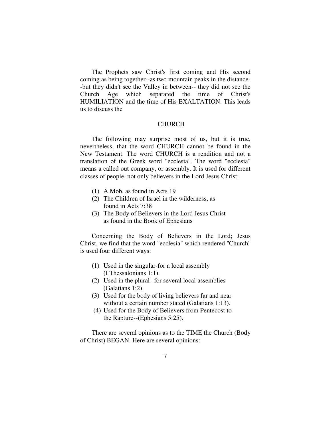The Prophets saw Christ's first coming and His second coming as being together--as two mountain peaks in the distance- -but they didn't see the Valley in between-- they did not see the Church Age which separated the time of Christ's HUMILIATION and the time of His EXALTATION. This leads us to discuss the

## **CHURCH**

The following may surprise most of us, but it is true, nevertheless, that the word CHURCH cannot be found in the New Testament. The word CHURCH is a rendition and not a translation of the Greek word "ecclesia". The word "ecclesia" means a called out company, or assembly. It is used for different classes of people, not only believers in the Lord Jesus Christ:

- (1) A Mob, as found in Acts 19
- (2) The Children of Israel in the wilderness, as found in Acts 7:38
- (3) The Body of Believers in the Lord Jesus Christ as found in the Book of Ephesians

Concerning the Body of Believers in the Lord; Jesus Christ, we find that the word "ecclesia" which rendered ''Church'' is used four different ways:

- (1) Used in the singular-for a local assembly (I Thessalonians 1:1).
- (2) Used in the plural--for several local assemblies (Galatians 1:2).
- (3) Used for the body of living believers far and near without a certain number stated (Galatians 1:13).
- (4) Used for the Body of Believers from Pentecost to the Rapture--(Ephesians 5:25).

There are several opinions as to the TIME the Church (Body of Christ) BEGAN. Here are several opinions: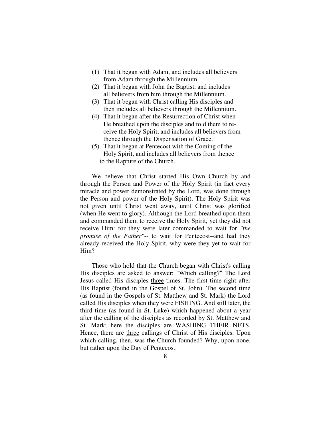- (1) That it began with Adam, and includes all believers from Adam through the Millennium.
- (2) That it began with John the Baptist, and includes all believers from him through the Millennium.
- (3) That it began with Christ calling His disciples and then includes all believers through the Millennium.
- (4) That it began after the Resurrection of Christ when He breathed upon the disciples and told them to re ceive the Holy Spirit, and includes all believers from thence through the Dispensation of Grace.
- (5) That it began at Pentecost with the Coming of the Holy Spirit, and includes all believers from thence to the Rapture of the Church.

We believe that Christ started His Own Church by and through the Person and Power of the Holy Spirit (in fact every miracle and power demonstrated by the Lord, was done through the Person and power of the Holy Spirit). The Holy Spirit was not given until Christ went away, until Christ was glorified (when He went to glory). Although the Lord breathed upon them and commanded them to receive the Holy Spirit, yet they did not receive Him: for they were later commanded to wait for *"the promise of the Father"--* to wait for Pentecost--and had they already received the Holy Spirit, why were they yet to wait for Him?

Those who hold that the Church began with Christ's calling His disciples are asked to answer: "Which calling?" The Lord Jesus called His disciples three times. The first time right after His Baptist (found in the Gospel of St. John). The second time (as found in the Gospels of St. Matthew and St. Mark) the Lord called His disciples when they were FISHING. And still later, the third time (as found in St. Luke) which happened about a year after the calling of the disciples as recorded by St. Matthew and St. Mark; here the disciples are WASHING THEIR NETS. Hence, there are three callings of Christ of His disciples. Upon which calling, then, was the Church founded? Why, upon none, but rather upon the Day of Pentecost.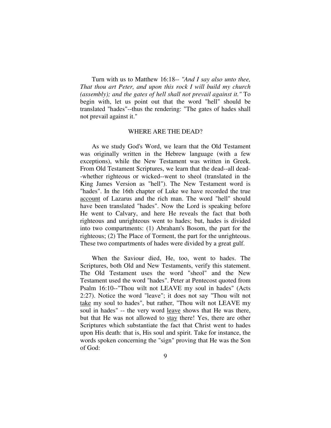Turn with us to Matthew 16:18-- *"And I say also unto thee, That thou art Peter, and upon this rock I will build my church (assembly); and the gates of hell shall not prevail against it."* To begin with, let us point out that the word "hell" should be translated "hades"--thus the rendering: "The gates of hades shall not prevail against it."

## WHERE ARE THE DEAD?

As we study God's Word, we learn that the Old Testament was originally written in the Hebrew language (with a few exceptions), while the New Testament was written in Greek. From Old Testament Scriptures, we learn that the dead--all dead- -whether righteous or wicked--went to sheol (translated in the King James Version as "hell"). The New Testament word is "hades". In the 16th chapter of Luke we have recorded the true account of Lazarus and the rich man. The word "hell" should have been translated "hades". Now the Lord is speaking before He went to Calvary, and here He reveals the fact that both righteous and unrighteous went to hades; but, hades is divided into two compartments: (1) Abraham's Bosom, the part for the righteous; (2) The Place of Torment, the part for the unrighteous. These two compartments of hades were divided by a great gulf.

When the Saviour died, He, too, went to hades. The Scriptures, both Old and New Testaments, verify this statement. The Old Testament uses the word "sheol" and the New Testament used the word "hades". Peter at Pentecost quoted from Psalm 16:10--"Thou wilt not LEAVE my soul in hades" (Acts 2:27). Notice the word "leave"; it does not say "Thou wilt not take my soul to hades", but rather, "Thou wilt not LEAVE my soul in hades" -- the very word leave shows that He was there, but that He was not allowed to stay there! Yes, there are other Scriptures which substantiate the fact that Christ went to hades upon His death: that is, His soul and spirit. Take for instance, the words spoken concerning the "sign" proving that He was the Son of God: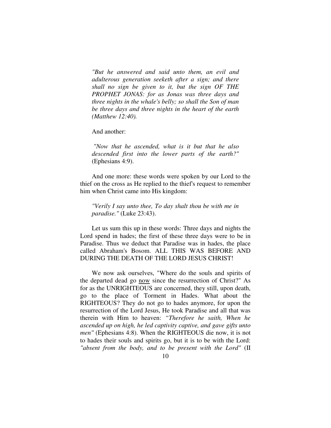*"But he answered and said unto them, an evil and adulterous generation seeketh after a sign; and there shall no sign be given to it, but the sign OF THE PROPHET JONAS: for as Jonas was three days and three nights in the whale's belly; so shall the Son of man be three days and three nights in the heart of the earth (Matthew 12:40).* 

And another:

*"Now that he ascended, what is it but that he also descended first into the lower parts of the earth?"* (Ephesians 4:9).

And one more: these words were spoken by our Lord to the thief on the cross as He replied to the thief's request to remember him when Christ came into His kingdom:

*"Verily I say unto thee, To day shalt thou be with me in paradise."* (Luke 23:43).

Let us sum this up in these words: Three days and nights the Lord spend in hades; the first of these three days were to be in Paradise. Thus we deduct that Paradise was in hades, the place called Abraham's Bosom. ALL THIS WAS BEFORE AND DURING THE DEATH OF THE LORD JESUS CHRIST!

We now ask ourselves, "Where do the souls and spirits of the departed dead go now since the resurrection of Christ?" As for as the UNRIGHTEOUS are concerned, they still, upon death, go to the place of Torment in Hades. What about the RIGHTEOUS? They do not go to hades anymore, for upon the resurrection of the Lord Jesus, He took Paradise and all that was therein with Him to heaven: *"Therefore he saith, When he ascended up on high, he led captivity captive, and gave gifts unto men"* (Ephesians 4:8). When the RIGHTEOUS die now, it is not to hades their souls and spirits go, but it is to be with the Lord: *"absent from the body, and to be present with the Lord"* (II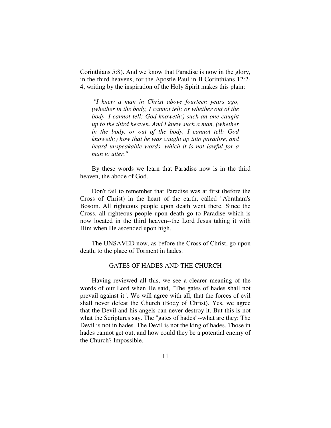Corinthians 5:8). And we know that Paradise is now in the glory, in the third heavens, for the Apostle Paul in II Corinthians 12:2- 4, writing by the inspiration of the Holy Spirit makes this plain:

 *"I knew a man in Christ above fourteen years ago, (whether in the body, I cannot tell; or whether out of the body, I cannot tell: God knoweth;) such an one caught up to the third heaven. And I knew such a man, (whether in the body, or out of the body, I cannot tell: God knoweth;) how that he was caught up into paradise, and heard unspeakable words, which it is not lawful for a man to utter."* 

By these words we learn that Paradise now is in the third heaven, the abode of God.

Don't fail to remember that Paradise was at first (before the Cross of Christ) in the heart of the earth, called "Abraham's Bosom. All righteous people upon death went there. Since the Cross, all righteous people upon death go to Paradise which is now located in the third heaven--the Lord Jesus taking it with Him when He ascended upon high.

The UNSAVED now, as before the Cross of Christ, go upon death, to the place of Torment in hades.

## GATES OF HADES AND THE CHURCH

Having reviewed all this, we see a clearer meaning of the words of our Lord when He said, "The gates of hades shall not prevail against it". We will agree with all, that the forces of evil shall never defeat the Church (Body of Christ). Yes, we agree that the Devil and his angels can never destroy it. But this is not what the Scriptures say. The "gates of hades"--what are they: The Devil is not in hades. The Devil is not the king of hades. Those in hades cannot get out, and how could they be a potential enemy of the Church? Impossible.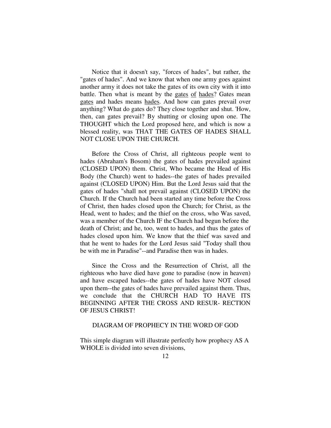Notice that it doesn't say, "forces of hades", but rather, the "gates of hades". And we know that when one army goes against another army it does not take the gates of its own city with it into battle. Then what is meant by the gates of hades? Gates mean gates and hades means hades. And how can gates prevail over anything? What do gates do? They close together and shut. 'How, then, can gates prevail? By shutting or closing upon one. The THOUGHT which the Lord proposed here, and which is now a blessed reality, was THAT THE GATES OF HADES SHALL NOT CLOSE UPON THE CHURCH.

Before the Cross of Christ, all righteous people went to hades (Abraham's Bosom) the gates of hades prevailed against (CLOSED UPON) them. Christ, Who became the Head of His Body (the Church) went to hades--the gates of hades prevailed against (CLOSED UPON) Him. But the Lord Jesus said that the gates of hades "shall not prevail against (CLOSED UPON) the Church. If the Church had been started any time before the Cross of Christ, then hades closed upon the Church; for Christ, as the Head, went to hades; and the thief on the cross, who Was saved, was a member of the Church IF the Church had begun before the death of Christ; and he, too, went to hades, and thus the gates of hades closed upon him. We know that the thief was saved and that he went to hades for the Lord Jesus said "Today shall thou be with me in Paradise"--and Paradise then was in hades.

Since the Cross and the Resurrection of Christ, all the righteous who have died have gone to paradise (now in heaven) and have escaped hades--the gates of hades have NOT closed upon them--the gates of hades have prevailed against them. Thus, we conclude that the CHURCH HAD TO HAVE ITS BEGINNING AFTER THE CROSS AND RESUR- RECTION OF JESUS CHRIST!

## DIAGRAM OF PROPHECY IN THE WORD OF GOD

This simple diagram will illustrate perfectly how prophecy AS A WHOLE is divided into seven divisions,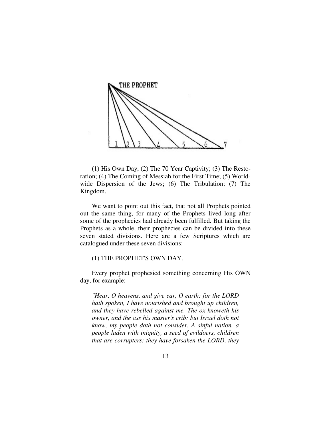

(1) His Own Day; (2) The 70 Year Captivity; (3) The Restoration; (4) The Coming of Messiah for the First Time; (5) Worldwide Dispersion of the Jews; (6) The Tribulation; (7) The Kingdom.

We want to point out this fact, that not all Prophets pointed out the same thing, for many of the Prophets lived long after some of the prophecies had already been fulfilled. But taking the Prophets as a whole, their prophecies can be divided into these seven stated divisions. Here are a few Scriptures which are catalogued under these seven divisions:

## (1) THE PROPHET'S OWN DAY.

Every prophet prophesied something concerning His OWN day, for example:

*"Hear, O heavens, and give ear, O earth: for the LORD hath spoken, I have nourished and brought up children, and they have rebelled against me. The ox knoweth his owner, and the ass his master's crib: but Israel doth not know, my people doth not consider. A sinful nation, a people laden with iniquity, a seed of evildoers, children that are corrupters: they have forsaken the LORD, they*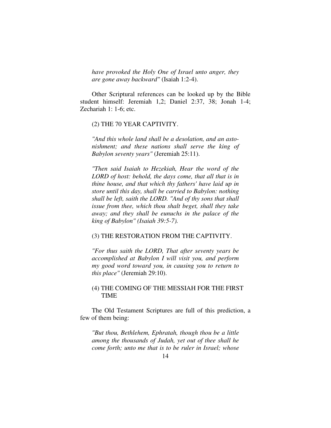*have provoked the Holy One of Israel unto anger, they are gone away backward"* (Isaiah 1:2-4).

Other Scriptural references can be looked up by the Bible student himself: Jeremiah 1,2; Daniel 2:37, 38; Jonah 1-4; Zechariah 1: 1-6; etc.

## (2) THE 70 YEAR CAPTIVITY.

*"And this whole land shall be a desolation, and an astonishment; and these nations shall serve the king of Babylon seventy years"* (Jeremiah 25:11).

*"Then said Isaiah to Hezekiah, Hear the word of the LORD of host: behold, the days come, that all that is in thine house, and that which thy fathers' have laid up in store until this day, shall be carried to Babylon: nothing shall be left, saith the LORD. "And of thy sons that shall issue from thee, which thou shalt beget, shall they take away; and they shall be eunuchs in the palace of the king of Babylon" (Isaiah 39:5-7).* 

## (3) THE RESTORATION FROM THE CAPTIVITY.

*"For thus saith the LORD, That after seventy years be accomplished at Babylon I will visit you, and perform my good word toward you, in causing you to return to this place"* (Jeremiah 29:10).

## (4) THE COMING OF THE MESSIAH FOR THE FIRST TIME

The Old Testament Scriptures are full of this prediction, a few of them being:

*"But thou, Bethlehem, Ephratah, though thou be a little among the thousands of Judah, yet out of thee shall he come forth; unto me that is to be ruler in Israel; whose*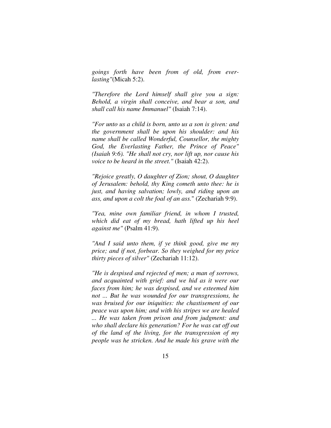*goings forth have been from of old, from everlasting"*(Micah 5:2).

*"Therefore the Lord himself shall give you a sign: Behold, a virgin shall conceive, and bear a son, and shall call his name Immanuel"* (Isaiah 7:14).

*"For unto us a child is born, unto us a son is given: and the government shall be upon his shoulder: and his name shall be called Wonderful, Counsellor, the mighty God, the Everlasting Father, the Prince of Peace" (Isaiah 9:6). "He shall not cry, nor lift up, nor cause his voice to be heard in the street."* (Isaiah 42:2).

*"Rejoice greatly, O daughter of Zion; shout, O daughter of Jerusalem: behold, thy King cometh unto thee: he is just, and having salvation; lowly, and riding upon an ass, and upon a colt the foal of an ass.*" (Zechariah 9:9).

*"Yea, mine own familiar friend, in whom I trusted, which did eat of my bread, hath lifted up his heel against me"* (Psalm 41:9).

*"And I said unto them, if ye think good, give me my price; and if not, forbear. So they weighed for my price thirty pieces of silver"* (Zechariah 11:12).

*"He is despised and rejected of men; a man of sorrows, and acquainted with grief: and we hid as it were our faces from him; he was despised, and we esteemed him not ... But he was wounded for our transgressions, he was bruised for our iniquities: the chastisement of our peace was upon him; and with his stripes we are healed ... He was taken from prison and from judgment: and who shall declare his generation? For he was cut off out of the land of the living, for the transgression of my people was he stricken. And he made his grave with the*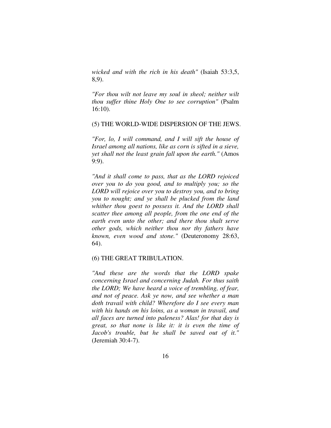*wicked and with the rich in his death"* (Isaiah 53:3,5, 8,9).

*"For thou wilt not leave my soul in sheol; neither wilt thou suffer thine Holy One to see corruption"* (Psalm 16:10).

## (5) THE WORLD-WIDE DISPERSION OF THE JEWS.

*"For, lo, I will command, and I will sift the house of Israel among all nations, like as corn is sifted in a sieve, yet shall not the least grain fall upon the earth."* (Amos 9:9).

*"And it shall come to pass, that as the LORD rejoiced over you to do you good, and to multiply you; so the LORD will rejoice over you to destroy you, and to bring you to nought; and ye shall be plucked from the land whither thou goest to possess it. And the LORD shall scatter thee among all people, from the one end of the earth even unto the other; and there thou shalt serve other gods, which neither thou nor thy fathers have known, even wood and stone."* (Deuteronomy 28:63, 64).

## (6) THE GREAT TRIBULATION.

*"And these are the words that the LORD spake concerning Israel and concerning Judah. For thus saith the LORD; We have heard a voice of trembling, of fear, and not of peace. Ask ye now, and see whether a man doth travail with child? Wherefore do I see every man with his hands on his loins, as a woman in travail, and all faces are turned into paleness? Alas! for that day is great, so that none is like it: it is even the time of Jacob's trouble, but he shall be saved out of it."*  (Jeremiah 30:4-7).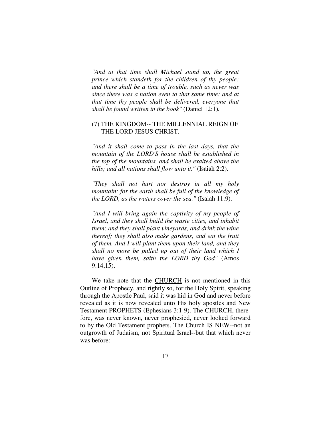*"And at that time shall Michael stand up, the great prince which standeth for the children of thy people: and there shall be a time of trouble, such as never was since there was a nation even to that same time: and at that time thy people shall be delivered, everyone that shall be found written in the book"* (Daniel 12:1)*.* 

## (7) THE KINGDOM-- THE MILLENNIAL REIGN OF THE LORD JESUS CHRIST.

*"And it shall come to pass in the last days, that the mountain of the LORD'S house shall be established in the top of the mountains, and shall be exalted above the hills; and all nations shall flow unto it."* (Isaiah 2:2).

*"They shall not hurt nor destroy in all my holy mountain: for the earth shall be full of the knowledge of the LORD, as the waters cover the sea."* (Isaiah 11:9).

*"And I will bring again the captivity of my people of Israel, and they shall build the waste cities, and inhabit them; and they shall plant vineyards, and drink the wine thereof; they shall also make gardens, and eat the fruit of them. And I will plant them upon their land, and they shall no more be pulled up out of their land which I have given them, saith the LORD thy God"* (Amos 9:14,15).

We take note that the CHURCH is not mentioned in this Outline of Prophecy, and rightly so, for the Holy Spirit, speaking through the Apostle Paul, said it was hid in God and never before revealed as it is now revealed unto His holy apostles and New Testament PROPHETS (Ephesians 3:1-9). The CHURCH, therefore, was never known, never prophesied, never looked forward to by the Old Testament prophets. The Church IS NEW--not an outgrowth of Judaism, not Spiritual Israel--but that which never was before: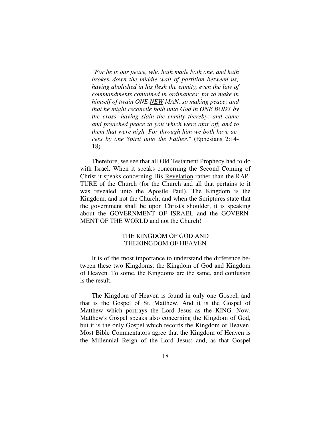*"For he is our peace, who hath made both one, and hath broken down the middle wall of partition between us; having abolished in his flesh the enmity, even the law of commandments contained in ordinances; for to make in himself of twain ONE NEW MAN, so making peace; and that he might reconcile both unto God in ONE BODY by the cross, having slain the enmity thereby: and came and preached peace to you which were afar off, and to them that were nigh. For through him we both have access by one Spirit unto the Father."* (Ephesians 2:14- 18).

Therefore, we see that all Old Testament Prophecy had to do with Israel. When it speaks concerning the Second Coming of Christ it speaks concerning His Revelation rather than the RAP-TURE of the Church (for the Church and all that pertains to it was revealed unto the Apostle Paul). The Kingdom is the Kingdom, and not the Church; and when the Scriptures state that the government shall be upon Christ's shoulder, it is speaking about the GOVERNMENT OF ISRAEL and the GOVERN-MENT OF THE WORLD and not the Church!

## THE KINGDOM OF GOD AND THEKINGDOM OF HEAVEN

It is of the most importance to understand the difference between these two Kingdoms: the Kingdom of God and Kingdom of Heaven. To some, the Kingdoms are the same, and confusion is the result.

The Kingdom of Heaven is found in only one Gospel, and that is the Gospel of St. Matthew. And it is the Gospel of Matthew which portrays the Lord Jesus as the KING. Now, Matthew's Gospel speaks also concerning the Kingdom of God, but it is the only Gospel which records the Kingdom of Heaven. Most Bible Commentators agree that the Kingdom of Heaven is the Millennial Reign of the Lord Jesus; and, as that Gospel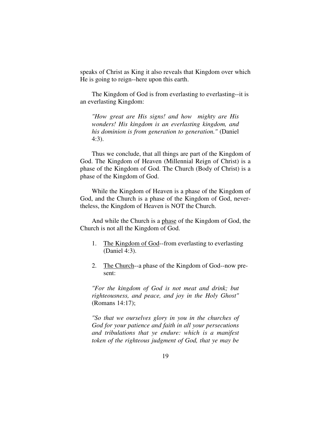speaks of Christ as King it also reveals that Kingdom over which He is going to reign--here upon this earth.

The Kingdom of God is from everlasting to everlasting--it is an everlasting Kingdom:

*"How great are His signs! and how mighty are His wonders! His kingdom is an everlasting kingdom, and his dominion is from generation to generation."* (Daniel 4:3).

Thus we conclude, that all things are part of the Kingdom of God. The Kingdom of Heaven (Millennial Reign of Christ) is a phase of the Kingdom of God. The Church (Body of Christ) is a phase of the Kingdom of God.

While the Kingdom of Heaven is a phase of the Kingdom of God, and the Church is a phase of the Kingdom of God, nevertheless, the Kingdom of Heaven is NOT the Church.

And while the Church is a phase of the Kingdom of God, the Church is not all the Kingdom of God.

- 1. The Kingdom of God--from everlasting to everlasting (Daniel 4:3).
- 2. The Church--a phase of the Kingdom of God--now present:

*"For the kingdom of God is not meat and drink; but righteousness, and peace, and joy in the Holy Ghost"*  (Romans 14:17);

*"So that we ourselves glory in you in the churches of God for your patience and faith in all your persecutions and tribulations that ye endure: which is a manifest token of the righteous judgment of God, that ye may be*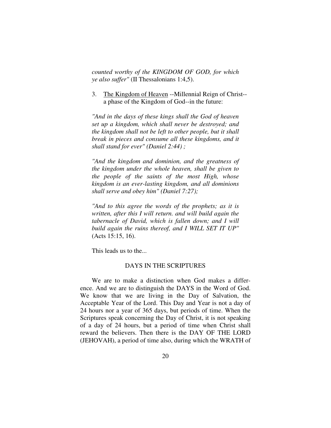*counted worthy of the KINGDOM OF GOD, for which ye also suffer"* (II Thessalonians 1:4,5).

## 3. The Kingdom of Heaven --Millennial Reign of Christ- a phase of the Kingdom of God--in the future:

*"And in the days of these kings shall the God of heaven set up a kingdom, which shall never be destroyed; and the kingdom shall not be left to other people, but it shall break in pieces and consume all these kingdoms, and it shall stand for ever" (Daniel 2:44) ;* 

*"And the kingdom and dominion, and the greatness of the kingdom under the whole heaven, shall be given to the people of the saints of the most High, whose kingdom is an ever-lasting kingdom, and all dominions shall serve and obey him" (Daniel 7:27);* 

*"And to this agree the words of the prophets; as it is written, after this I will return. and will build again the tabernacle of David, which is fallen down; and I will build again the ruins thereof, and I WILL SET IT UP"*  (Acts 15:15, 16).

This leads us to the...

## DAYS IN THE SCRIPTURES

We are to make a distinction when God makes a difference. And we are to distinguish the DAYS in the Word of God. We know that we are living in the Day of Salvation, the Acceptable Year of the Lord. This Day and Year is not a day of 24 hours nor a year of 365 days, but periods of time. When the Scriptures speak concerning the Day of Christ, it is not speaking of a day of 24 hours, but a period of time when Christ shall reward the believers. Then there is the DAY OF THE LORD (JEHOVAH), a period of time also, during which the WRATH of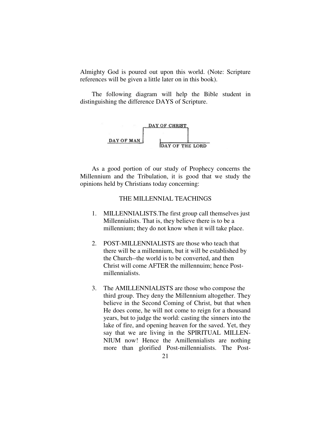Almighty God is poured out upon this world. (Note: Scripture references will be given a little later on in this book).

The following diagram will help the Bible student in distinguishing the difference DAYS of Scripture.



As a good portion of our study of Prophecy concerns the Millennium and the Tribulation, it is good that we study the opinions held by Christians today concerning:

## THE MILLENNIAL TEACHINGS

- 1. MILLENNIALISTS.The first group call themselves just Millennialists. That is, they believe there is to be a millennium; they do not know when it will take place.
- 2. POST-MILLENNIALISTS are those who teach that there will be a millennium, but it will be established by the Church--the world is to be converted, and then Christ will come AFTER the millennuim; hence Postmillennialists.
- 3. The AMILLENNIALISTS are those who compose the third group. They deny the Millennium altogether. They believe in the Second Coming of Christ, but that when He does come, he will not come to reign for a thousand years, but to judge the world: casting the sinners into the lake of fire, and opening heaven for the saved. Yet, they say that we are living in the SPIRITUAL MILLEN-NIUM now! Hence the Amillennialists are nothing more than glorified Post-millennialists. The Post-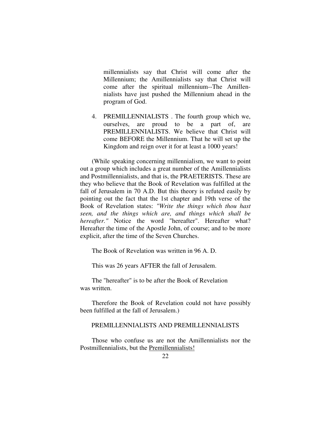millennialists say that Christ will come after the Millennium; the Amillennialists say that Christ will come after the spiritual millennium--The Amillennialists have just pushed the Millennium ahead in the program of God.

4. PREMILLENNIALISTS . The fourth group which we, ourselves, are proud to be a part of, are PREMILLENNIALISTS. We believe that Christ will come BEFORE the Millennium. That he will set up the Kingdom and reign over it for at least a 1000 years!

(While speaking concerning millennialism, we want to point out a group which includes a great number of the Amillennialists and Postmillennialists, and that is, the PRAETERISTS. These are they who believe that the Book of Revelation was fulfilled at the fall of Jerusalem in 70 A.D. But this theory is refuted easily by pointing out the fact that the 1st chapter and 19th verse of the Book of Revelation states: *"Write the things which thou hast seen, and the things which are, and things which shall be hereafter."* Notice the word "hereafter". Hereafter what? Hereafter the time of the Apostle John, of course; and to be more explicit, after the time of the Seven Churches.

The Book of Revelation was written in 96 A. D.

This was 26 years AFTER the fall of Jerusalem.

The "hereafter" is to be after the Book of Revelation was written.

Therefore the Book of Revelation could not have possibly been fulfilled at the fall of Jerusalem.)

## PREMILLENNIALISTS AND PREMILLENNIALISTS

Those who confuse us are not the Amillennialists nor the Postmillennialists, but the Premillennialists!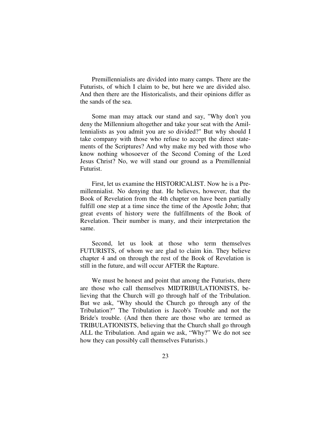Premillennialists are divided into many camps. There are the Futurists, of which I claim to be, but here we are divided also. And then there are the Historicalists, and their opinions differ as the sands of the sea.

Some man may attack our stand and say, "Why don't you deny the Millennium altogether and take your seat with the Amillennialists as you admit you are so divided?" But why should I take company with those who refuse to accept the direct statements of the Scriptures? And why make my bed with those who know nothing whosoever of the Second Coming of the Lord Jesus Christ? No, we will stand our ground as a Premillennial Futurist.

First, let us examine the HISTORICALIST. Now he is a Premillennialist. No denying that. He believes, however, that the Book of Revelation from the 4th chapter on have been partially fulfill one step at a time since the time of the Apostle John; that great events of history were the fulfillments of the Book of Revelation. Their number is many, and their interpretation the same.

Second, let us look at those who term themselves FUTURISTS, of whom we are glad to claim kin. They believe chapter 4 and on through the rest of the Book of Revelation is still in the future, and will occur AFTER the Rapture.

We must be honest and point that among the Futurists, there are those who call themselves MIDTRIBULATIONISTS, believing that the Church will go through half of the Tribulation. But we ask, "Why should the Church go through any of the Tribulation?" The Tribulation is Jacob's Trouble and not the Bride's trouble. (And then there are those who are termed as TRIBULATIONISTS, believing that the Church shall go through ALL the Tribulation. And again we ask, "Why?" We do not see how they can possibly call themselves Futurists.)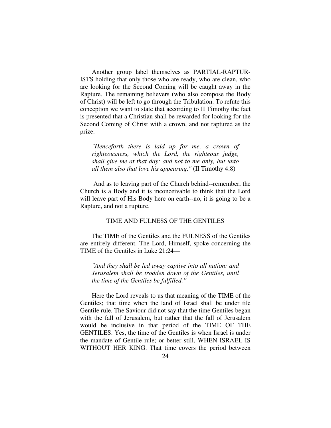Another group label themselves as PARTIAL-RAPTUR-ISTS holding that only those who are ready, who are clean, who are looking for the Second Coming will be caught away in the Rapture. The remaining believers (who also compose the Body of Christ) will be left to go through the Tribulation. To refute this conception we want to state that according to II Timothy the fact is presented that a Christian shall be rewarded for looking for the Second Coming of Christ with a crown, and not raptured as the prize:

*"Henceforth there is laid up for me, a crown of righteousness, which the Lord, the righteous judge, shall give me at that day: and not to me only, but unto all them also that love his appearing."* (II Timothy 4:8)

 And as to leaving part of the Church behind--remember, the Church is a Body and it is inconceivable to think that the Lord will leave part of His Body here on earth--no, it is going to be a Rapture, and not a rupture.

## TIME AND FULNESS OF THE GENTILES

The TIME of the Gentiles and the FULNESS of the Gentiles are entirely different. The Lord, Himself, spoke concerning the TIME of the Gentiles in Luke 21:24—

*"And they shall be led away captive into all nation: and Jerusalem shall be trodden down of the Gentiles, until the time of the Gentiles be fulfilled."* 

Here the Lord reveals to us that meaning of the TIME of the Gentiles; that time when the land of Israel shall be under tile Gentile rule. The Saviour did not say that the time Gentiles began with the fall of Jerusalem, but rather that the fall of Jerusalem would be inclusive in that period of the TIME OF THE GENTILES. Yes, the time of the Gentiles is when Israel is under the mandate of Gentile rule; or better still, WHEN ISRAEL IS WITHOUT HER KING. That time covers the period between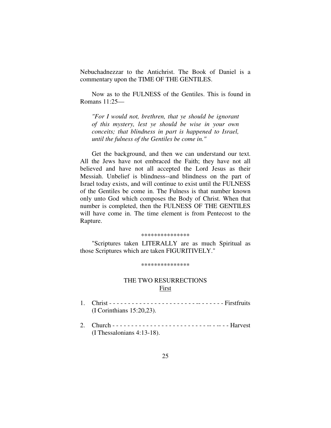Nebuchadnezzar to the Antichrist. The Book of Daniel is a commentary upon the TIME OF THE GENTILES.

Now as to the FULNESS of the Gentiles. This is found in Romans 11:25—

*"For I would not, brethren, that ye should be ignorant of this mystery, lest ye should be wise in your own conceits; that blindness in part is happened to Israel, until the fulness of the Gentiles be come in."* 

Get the background, and then we can understand our text. All the Jews have not embraced the Faith; they have not all believed and have not all accepted the Lord Jesus as their Messiah. Unbelief is blindness--and blindness on the part of Israel today exists, and will continue to exist until the FULNESS of the Gentiles be come in. The Fulness is that number known only unto God which composes the Body of Christ. When that number is completed, then the FULNESS OF THE GENTILES will have come in. The time element is from Pentecost to the Rapture.

### \*\*\*\*\*\*\*\*\*\*\*\*\*\*\*

"Scriptures taken LITERALLY are as much Spiritual as those Scriptures which are taken FIGURITIVELY."

#### \*\*\*\*\*\*\*\*\*\*\*\*\*\*\*

## THE TWO RESURRECTIONS First

- 1. Christ - - - - - - - - - - - -- - - - Firstfruits (I Corinthians 15:20,23).
- 2. Church - - - - - - - - - - - - -- -- - Harvest (I Thessalonians 4:13-18).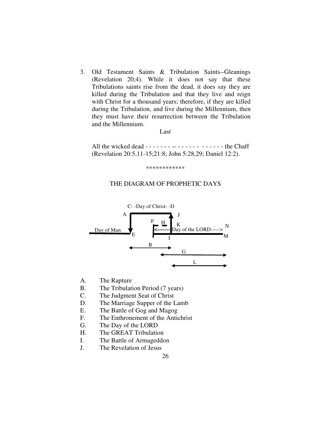3. Old Testament Saints & Tribulation Saints--Gleanings (Revelation 20;4). While it does not say that these Tribulations saints rise from the dead, it does say they are killed during the Tribulation and that they live and reign with Christ for a thousand years; therefore, if they are killed during the Tribulation, and live during the Millennium, then they must have their resurrection between the Tribulation and the Millennium.

### Last

All the wicked dead  $- - - - - - - - - - - - - - - - - - - - - - -$  the Chaff (Revelation 20:5,11-15;21:8; John 5:28,29; Daniel 12:2).

\*\*\*\*\*\*\*\*\*\*\*\*

## THE DIAGRAM OF PROPHETIC DAYS



- A. The Rapture
- B. The Tribulation Period (7 years)
- C. The Judgment Seat of Christ
- D. The Marriage Supper of the Lamb
- E. The Battle of Gog and Magog
- F. The Enthronement of the Antichrist
- G. The Day of the LORD
- H. The GREAT Tribulation
- I. The Battle of Armageddon
- J. The Revelation of Jesus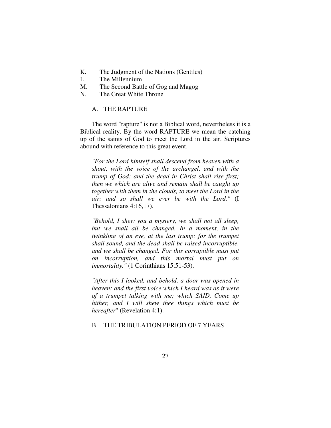- K. The Judgment of the Nations (Gentiles)
- L. The Millennium
- M. The Second Battle of Gog and Magog
- N. The Great White Throne

## A. THE RAPTURE

The word "rapture" is not a Biblical word, nevertheless it is a Biblical reality. By the word RAPTURE we mean the catching up of the saints of God to meet the Lord in the air. Scriptures abound with reference to this great event.

*"For the Lord himself shall descend from heaven with a shout, with the voice of the archangel, and with the trump of God: and the dead in Christ shall rise first; then we which are alive and remain shall be caught up together with them in the clouds, to meet the Lord in the air: and so shall we ever be with the Lord."* (I Thessalonians 4:16,17).

*"Behold, I shew you a mystery, we shall not all sleep, but we shall all be changed. In a moment, in the twinkling of an eye, at the last trump: for the trumpet shall sound, and the dead shall be raised incorruptible, and we shall be changed. For this corruptible must put on incorruption, and this mortal must put on immortality."* (1 Corinthians 15:51-53).

*"After this I looked, and behold, a door was opened in heaven: and the first voice which I heard was as it were of a trumpet talking with me; which SAID, Come up hither, and I will shew thee things which must be hereafter*" (Revelation 4:1).

## B. THE TRIBULATION PERIOD OF 7 YEARS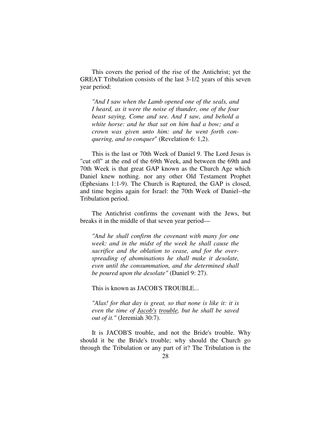This covers the period of the rise of the Antichrist; yet the GREAT Tribulation consists of the last 3-1/2 years of this seven year period:

*"And I saw when the Lamb opened one of the seals, and I heard, as it were the noise of thunder, one of the four beast saying, Come and see. And I saw, and behold a white horse: and he that sat on him had a bow; and a crown was given unto him: and he went forth conquering, and to conquer*" (Revelation 6: 1,2).

This is the last or 70th Week of Daniel 9. The Lord Jesus is "cut off" at the end of the 69th Week, and between the 69th and 70th Week is that great GAP known as the Church Age which Daniel knew nothing. nor any other Old Testament Prophet (Ephesians 1:1-9). The Church is Raptured, the GAP is closed, and time begins again for Israel: the 70th Week of Daniel--the Tribulation period.

The Antichrist confirms the covenant with the Jews, but breaks it in the middle of that seven year period—

*"And he shall confirm the covenant with many for one week: and in the midst of the week he shall cause the sacrifice and the oblation to cease, and for the overspreading of abominations he shall make it desolate, even until the consummation, and the determined shall be poured upon the desolate"* (Daniel 9: 27).

This is known as JACOB'S TROUBLE...

*"Alas! for that day is great, so that none is like it: it is even the time of Jacob's trouble, but he shall be saved out of it."* (Jeremiah 30:7).

It is JACOB'S trouble, and not the Bride's trouble. Why should it be the Bride's trouble; why should the Church go through the Tribulation or any part of it? The Tribulation is the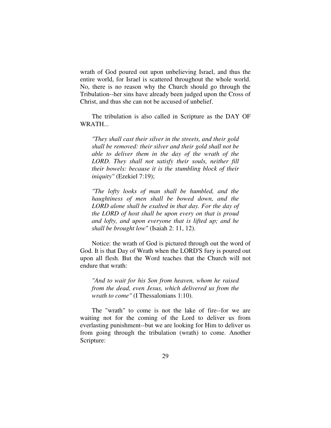wrath of God poured out upon unbelieving Israel, and thus the entire world, for Israel is scattered throughout the whole world. No, there is no reason why the Church should go through the Tribulation--her sins have already been judged upon the Cross of Christ, and thus she can not be accused of unbelief.

The tribulation is also called in Scripture as the DAY OF WRATH...

*"They shall cast their silver in the streets, and their gold shall be removed: their silver and their gold shall not be able to deliver them in the day of the wrath of the LORD. They shall not satisfy their souls, neither fill their bowels: because it is the stumbling block of their iniquity"* (Ezekiel 7:19);

*"The lofty looks of man shall be humbled, and the haughtiness of men shall be bowed down, and the LORD alone shall be exalted in that day. For the day of the LORD of host shall be upon every on that is proud and lofty, and upon everyone that is lifted up; and he shall be brought low"* (Isaiah 2: 11, 12).

Notice: the wrath of God is pictured through out the word of God. It is that Day of Wrath when the LORD'S fury is poured out upon all flesh. But the Word teaches that the Church will not endure that wrath:

*"And to wait for his Son from heaven, whom he raised from the dead, even Jesus, which delivered us from the wrath to come"* (I Thessalonians 1:10).

The "wrath" to come is not the lake of fire--for we are waiting not for the coming of the Lord to deliver us from everlasting punishment--but we are looking for Him to deliver us from going through the tribulation (wrath) to come. Another Scripture: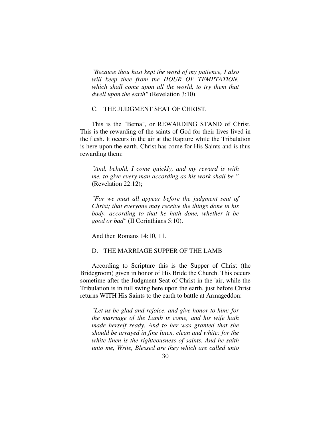*"Because thou hast kept the word of my patience, I also will keep thee from the HOUR OF TEMPTATION, which shall come upon all the world, to try them that dwell upon the earth"* (Revelation 3:10).

## C. THE JUDGMENT SEAT OF CHRIST.

This is the "Bema", or REWARDING STAND of Christ. This is the rewarding of the saints of God for their lives lived in the flesh. It occurs in the air at the Rapture while the Tribulation is here upon the earth. Christ has come for His Saints and is thus rewarding them:

*"And, behold, I come quickly, and my reward is with me, to give every man according as his work shall be."*  (Revelation 22:12);

*"For we must all appear before the judgment seat of Christ; that everyone may receive the things done in his body, according to that he hath done, whether it be good or bad"* (II Corinthians 5:10).

And then Romans 14:10, 11*.* 

## D. THE MARRIAGE SUPPER OF THE LAMB

According to Scripture this is the Supper of Christ (the Bridegroom) given in honor of His Bride the Church. This occurs sometime after the Judgment Seat of Christ in the 'air, while the Tribulation is in full swing here upon the earth, just before Christ returns WITH His Saints to the earth to battle at Armageddon:

*"Let us be glad and rejoice, and give honor to him: for the marriage of the Lamb is come, and his wife hath made herself ready. And to her was granted that she should be arrayed in fine linen, clean and white: for the white linen is the righteousness of saints. And he saith unto me, Write, Blessed are they which are called unto*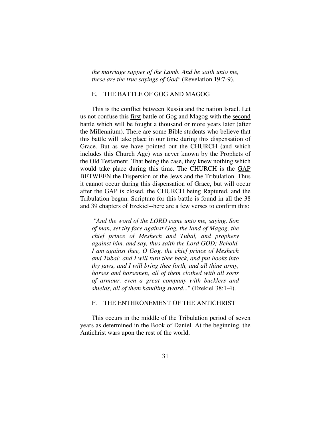*the marriage supper of the Lamb. And he saith unto me, these are the true sayings of God"* (Revelation 19:7-9).

## E. THE BATTLE OF GOG AND MAGOG

This is the conflict between Russia and the nation Israel. Let us not confuse this first battle of Gog and Magog with the second battle which will be fought a thousand or more years later (after the Millennium). There are some Bible students who believe that this battle will take place in our time during this dispensation of Grace. But as we have pointed out the CHURCH (and which includes this Church Age) was never known by the Prophets of the Old Testament. That being the case, they knew nothing which would take place during this time. The CHURCH is the GAP BETWEEN the Dispersion of the Jews and the Tribulation. Thus it cannot occur during this dispensation of Grace, but will occur after the GAP is closed, the CHURCH being Raptured, and the Tribulation begun. Scripture for this battle is found in all the 38 and 39 chapters of Ezekiel--here are a few verses to confirm this:

 *"And the word of the LORD came unto me, saying, Son of man, set thy face against Gog, the land of Magog, the chief prince of Meshech and Tubal, and prophesy against him, and say, thus saith the Lord GOD; Behold, I am against thee, O Gog, the chief prince of Meshech and Tubal: and I will turn thee back, and put hooks into thy jaws, and I will bring thee forth, and all thine army, horses and horsemen, all of them clothed with all sorts of armour, even a great company with bucklers and shields, all of them handling sword...*" (Ezekiel 38:1-4).

## F. THE ENTHRONEMENT OF THE ANTICHRIST

This occurs in the middle of the Tribulation period of seven years as determined in the Book of Daniel. At the beginning, the Antichrist wars upon the rest of the world,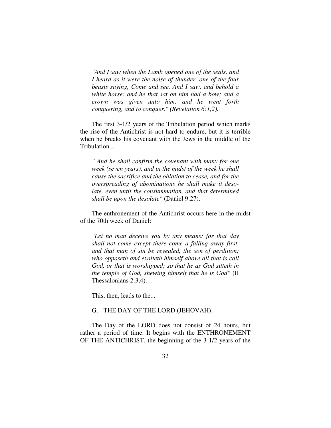*"And I saw when the Lamb opened one of the seals, and I heard as it were the noise of thunder, one of the four beasts saying, Come and see. And I saw, and behold a white horse: and he that sat on him had a bow; and a crown was given unto him: and he went forth conquering, and to conquer." (Revelation 6:1,2).* 

The first 3-1/2 years of the Tribulation period which marks the rise of the Antichrist is not hard to endure, but it is terrible when he breaks his covenant with the Jews in the middle of the Tribulation...

*" And he shall confirm the covenant with many for one week (seven years), and in the midst of the week he shall cause the sacrifice and the oblation to cease, and for the overspreading of abominations he shall make it desolate, even until the consummation, and that determined shall be upon the desolate"* (Daniel 9:27).

The enthronement of the Antichrist occurs here in the midst of the 70th week of Daniel:

*"Let no man deceive you by any means: for that day shall not come except there come a falling away first, and that man of sin be revealed, the son of perdition; who opposeth and exalteth himself above all that is call God, or that is worshipped; so that he as God sitteth in the temple of God, shewing himself that he is God"* (II Thessalonians 2:3,4).

This, then, leads to the...

## G. THE DAY OF THE LORD (JEHOVAH).

The Day of the LORD does not consist of 24 hours, but rather a period of time. It begins with the ENTHRONEMENT OF THE ANTICHRIST, the beginning of the 3-1/2 years of the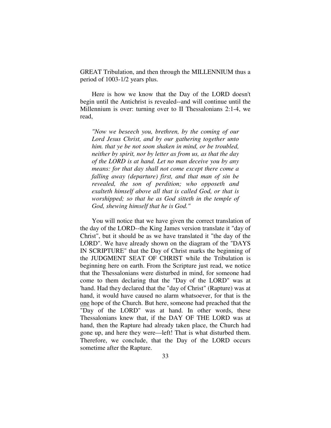GREAT Tribulation, and then through the MILLENNIUM thus a period of 1003-1/2 years plus.

Here is how we know that the Day of the LORD doesn't begin until the Antichrist is revealed--and will continue until the Millennium is over: turning over to II Thessalonians 2:1-4, we read,

*"Now we beseech you, brethren, by the coming of our Lord Jesus Christ, and by our gathering together unto him. that ye be not soon shaken in mind, or be troubled, neither by spirit, nor by letter as from us, as that the day of the LORD is at hand. Let no man deceive you by any means: for that day shall not come except there come a falling away (departure) first, and that man of sin be revealed, the son of perdition; who opposeth and exalteth himself above all that is called God, or that is worshipped; so that he as God sitteth in the temple of God, shewing himself that he is God."* 

You will notice that we have given the correct translation of the day of the LORD--the King James version translate it "day of Christ", but it should be as we have translated it "the day of the LORD". We have already shown on the diagram of the "DAYS IN SCRIPTURE" that the Day of Christ marks the beginning of the JUDGMENT SEAT OF CHRIST while the Tribulation is beginning here on earth. From the Scripture just read, we notice that the Thessalonians were disturbed in mind, for someone had come to them declaring that the "Day of the LORD" was at 'hand. Had they declared that the "day of Christ" (Rapture) was at hand, it would have caused no alarm whatsoever, for that is the one hope of the Church. But here, someone had preached that the "Day of the LORD" was at hand. In other words, these Thessalonians knew that, if the DAY OF THE LORD was at hand, then the Rapture had already taken place, the Church had gone up, and here they were—left! That is what disturbed them. Therefore, we conclude, that the Day of the LORD occurs sometime after the Rapture.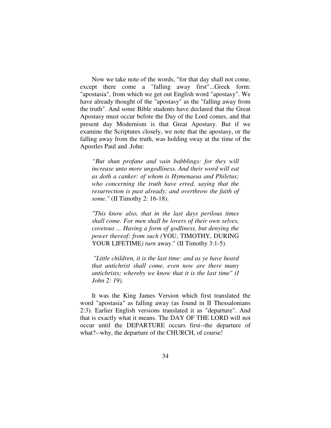Now we take note of the words, "for that day shall not come, except there come a "falling away first"...Greek form: "apostasia", from which we get out English word "apostasy". We have already thought of the "apostasy" as the "falling away from the truth". And some Bible students have declared that the Great Apostasy must occur before the Day of the Lord comes, and that present day Modernism is that Great Apostasy. But if we examine the Scriptures closely, we note that the apostasy, or the falling away from the truth, was holding sway at the time of the Apostles Paul and .John:

*"But shun profane and vain babblings: for they will increase unto more ungodliness. And their word will eat as doth a canker: of whom is Hymenaeus and Philetus; who concerning the truth have erred, saying that the resurrection is past already; and overthrow the faith of some."* (II Timothy 2: 16-18).

*"This know also, that in the last days perilous times shall come. For men shall be lovers of their own selves, covetous ... Having a form of godliness, but denying the power thereof: from such (*YOU, TIMOTHY, DURING YOUR LIFETIME*) turn* away." (II Timothy 3:1-5).

 *"Little children, it is the last time: and as ye have heard that antichrist shall come, even now are there many antichrists; whereby we know that it is the last time" (I John 2: 19).* 

It was the King James Version which first translated the word "apostasia" as falling away (as found in II Thessalonians 2:3). Earlier English versions translated it as "departure". And that is exactly what it means. The DAY OF THE LORD will not occur until the DEPARTURE occurs first--the departure of what?--why, the departure of the CHURCH, of course!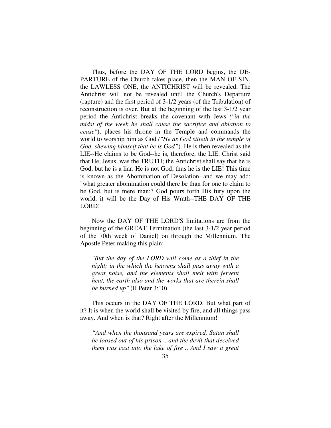Thus, before the DAY OF THE LORD begins, the DE-PARTURE of the Church takes place, then the MAN OF SIN, the LAWLESS ONE, the ANTICHRIST will be revealed. The Antichrist will not be revealed until the Church's Departure (rapture) and the first period of 3-1/2 years (of the Tribulation) of reconstruction is over. But at the beginning of the last 3-1/2 year period the Antichrist breaks the covenant with Jews *("in the midst of the week he shall cause the sacrifice and oblation to cease"*), places his throne in the Temple and commands the world to worship him as God *("He as God sitteth in the temple of God, shewing himself that he is God"*). He is then revealed as the LIE--He claims to be God--he is, therefore, the LIE. Christ said that He, Jesus, was the TRUTH; the Antichrist shall say that he is God, but he is a liar. He is not God; thus he is the LIE! This time is known as the Abomination of Desolation--and we may add: "what greater abomination could there be than for one to claim to be God, but is mere man:? God pours forth His fury upon the world, it will be the Day of His Wrath--THE DAY OF THE LORD!

Now the DAY OF THE LORD'S limitations are from the beginning of the GREAT Termination (the last 3-1/2 year period of the 70th week of Daniel) on through the Millennium. The Apostle Peter making this plain:

*"But the day of the LORD will come as a thief in the night; in the which the heavens shall pass away with a great noise, and the elements shall melt with fervent heat, the earth also and the works that are therein shall be burned up"* (II Peter 3:10).

This occurs in the DAY OF THE LORD. But what part of it? It is when the world shall be visited by fire, and all things pass away. And when is that? Right after the Millennium!

*"And when the thousand years are expired, Satan shall be loosed out of his prison .. and the devil that deceived them was cast into the lake of fire .. And I saw a great*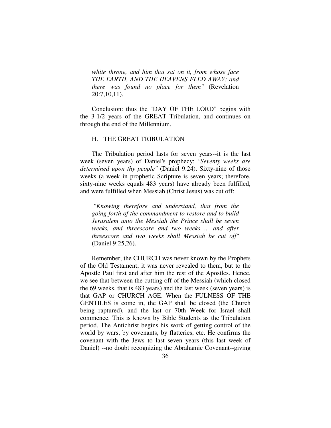*white throne, and him that sat on it, from whose face THE EARTH, AND THE HEAVENS FLED AWAY: and there was found no place for them"* (Revelation 20:7,10,11).

Conclusion: thus the "DAY OF THE LORD" begins with the 3-1/2 years of the GREAT Tribulation, and continues on through the end of the Millennium.

## H. THE GREAT TRIBULATION

The Tribulation period lasts for seven years--it is the last week (seven years) of Daniel's prophecy: *"Seventy weeks are determined upon thy people"* (Daniel 9:24). Sixty-nine of those weeks (a week in prophetic Scripture is seven years; therefore, sixty-nine weeks equals 483 years) have already been fulfilled, and were fulfilled when Messiah (Christ Jesus) was cut off:

*"Knowing therefore and understand, that from the going forth of the commandment to restore and to build Jerusalem unto the Messiah the Prince shall be seven weeks, and threescore and two weeks ... and after threescore and two weeks shall Messiah be cut off"* (Daniel 9:25,26).

Remember, the CHURCH was never known by the Prophets of the Old Testament; it was never revealed to them, but to the Apostle Paul first and after him the rest of the Apostles. Hence, we see that between the cutting off of the Messiah (which closed the 69 weeks, that is 483 years) and the last week (seven years) is that GAP or CHURCH AGE. When the FULNESS OF THE GENTILES is come in, the GAP shall be closed (the Church being raptured), and the last or 70th Week for Israel shall commence. This is known by Bible Students as the Tribulation period. The Antichrist begins his work of getting control of the world by wars, by covenants, by flatteries, etc. He confirms the covenant with the Jews to last seven years (this last week of Daniel) --no doubt recognizing the Abrahamic Covenant--giving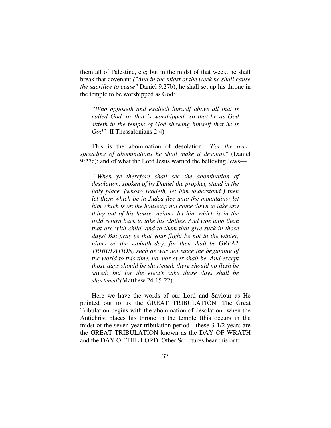them all of Palestine, etc; but in the midst of that week, he shall break that covenant *("And in the midst of the week he shall cause the sacrifice to cease"* Daniel 9:27b); he shall set up his throne in the temple to be worshipped as God:

*"Who opposeth and exalteth himself above all that is called God, or that is worshipped; so that he as God sitteth in the temple of God shewing himself that he is God"* (II Thessalonians 2:4).

This is the abomination of desolation, *"For the overspreading of abominations he shall make it desolate"* (Daniel 9:27c); and of what the Lord Jesus warned the believing Jews—

 *"When ye therefore shall see the abomination of desolation, spoken of by Daniel the prophet, stand in the holy place, (whoso readeth, let him understand:) then let them which be in Judea flee unto the mountains: let him which is on the housetop not come down to take any thing out of his house: neither let him which is in the field return back to take his clothes. And woe unto them that are with child, and to them that give suck in those days! But pray ye that your flight be not in the winter, nither on the sabbath day: for then shall be GREAT TRIBULATION, such as was not since the beginning of the world to this time, no, nor ever shall be. And except those days should be shortened, there should no flesh be saved: but for the elect's sake those days shall be shortened"(*Matthew 24:15-22).

Here we have the words of our Lord and Saviour as He pointed out to us the GREAT TRIBULATION. The Great Tribulation begins with the abomination of desolation--when the Antichrist places his throne in the temple (this occurs in the midst of the seven year tribulation period-- these 3-1/2 years are the GREAT TRIBULATION known as the DAY OF WRATH and the DAY OF THE LORD. Other Scriptures bear this out: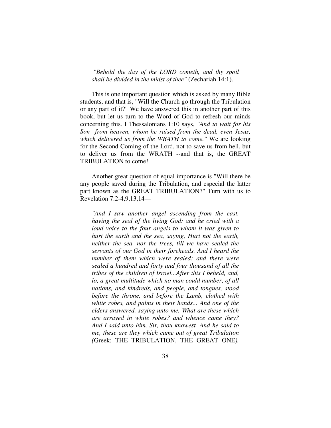*"Behold the day of the LORD cometh, and thy spoil shall be divided in the midst of thee"* (Zechariah 14:1).

This is one important question which is asked by many Bible students, and that is, "Will the Church go through the Tribulation or any part of it?" We have answered this in another part of this book, but let us turn to the Word of God to refresh our minds concerning this. I Thessalonians 1:10 says, *"And to wait for his Son from heaven, whom he raised from the dead, even Jesus, which delivered us from the WRATH to come."* We are looking for the Second Coming of the Lord, not to save us from hell, but to deliver us from the WRATH --and that is, the GREAT TRIBULATION to come!

Another great question of equal importance is "Will there be any people saved during the Tribulation, and especial the latter part known as the GREAT TRIBULATION?" Turn with us to Revelation 7:2-4,9,13,14—

*"And I saw another angel ascending from the east, having the seal of the living God: and he cried with a loud voice to the four angels to whom it was given to hurt the earth and the sea, saying, Hurt not the earth, neither the sea, nor the trees, till we have sealed the servants of our God in their foreheads. And I heard the number of them which were sealed: and there were sealed a hundred and forty and four thousand of all the tribes of the children of Israel...After this I beheld, and, lo, a great multitude which no man could number, of all nations, and kindreds, and people, and tongues, stood before the throne, and before the Lamb, clothed with white robes, and palms in their hands... And one of the elders answered, saying unto me, What are these which are arrayed in white robes? and whence came they? And I said unto him, Sir, thou knowest. And he said to me, these are they which came out of great Tribulation (*Greek: THE TRIBULATION, THE GREAT ONE*),*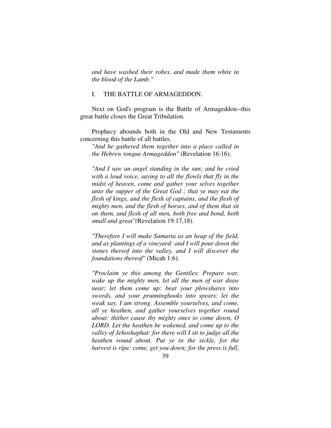*and have washed their robes, and made them white in the blood of the Lamb."* 

## I. THE BATTLE OF ARMAGEDDON.

Next on God's program is the Battle of Armageddon--this great battle closes the Great Tribulation.

Prophecy abounds both in the Old and New Testaments concerning this battle of all battles.

*"And he gathered them together into a place called in the Hebrew tongue Armageddon"* (Revelation 16:16).

*"And I saw an angel standing in the sun; and he cried with a loud voice, saying to all the flowls that fly in the midst of heaven, come and gather your selves together unto the supper of the Great God ; that ye may eat the flesh of kings, and the flesh of captains, and the flesh of mighty men, and the flesh of horses, and of them that sit on them, and flesh of all men, both free and bond, both small and great"(*Revelation 19:17,18).

*"Therefore I will make Samaria as an heap of the field, and as plantings of a vineyard: and I will pour down the stones thereof into the valley, and I will discover the foundations thereof"* (Micah 1:6).

*"Proclaim ye this among the Gentiles: Prepare war, wake up the mighty men, let all the men of war draw near; let them come up: beat your plowshares into swords, and your prunninghooks into spears: let the weak say, I am strong. Assemble yourselves, and come, all ye heathen, and gather yourselves together round about: thither cause thy mighty ones to come down, O LORD. Let the heathen be wakened, and come up to the valley of Jehoshaphat: for there will I sit to judge all the heathen round about. Put ye in the sickle, for the harvest is ripe: come, get you down; for the press is full,*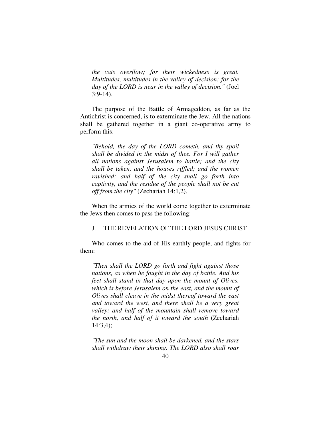*the vats overflow; for their wickedness is great. Multitudes, multitudes in the valley of decision: for the day of the LORD is near in the valley of decision."* (Joel 3:9-14).

The purpose of the Battle of Armageddon, as far as the Antichrist is concerned, is to exterminate the Jew. All the nations shall be gathered together in a giant co-operative army to perform this:

*"Behold, the day of the LORD cometh, and thy spoil shall be divided in the midst of thee. For I will gather all nations against Jerusalem to battle; and the city shall be taken, and the houses riffled; and the women ravished; and half of the city shall go forth into captivity, and the residue of the people shall not be cut off from the city"* (Zechariah 14:1,2).

When the armies of the world come together to exterminate the Jews then comes to pass the following:

## J. THE REVELATION OF THE LORD JESUS CHRIST

Who comes to the aid of His earthly people, and fights for them:

*"Then shall the LORD go forth and fight against those nations, as when he fought in the day of battle. And his feet shall stand in that day upon the mount of Olives, which is before Jerusalem on the east, and the mount of Olives shall cleave in the midst thereof toward the east and toward the west, and there shall be a very great valley; and half of the mountain shall remove toward the north, and half of it toward the south* (Zechariah 14:3,4);

*"The sun and the moon shall be darkened, and the stars shall withdraw their shining. The LORD also shall roar*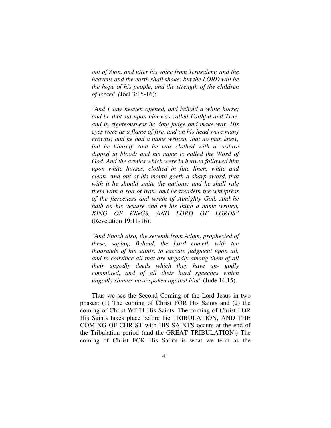*out of Zion, and utter his voice from Jerusalem; and the heavens and the earth shall shake: but the LORD will be the hope of his people, and the strength of the children of Israel" (*Joel 3:15-16);

*"And I saw heaven opened, and behold a white horse; and he that sat upon him was called Faithful and True, and in righteousness he doth judge and make war. His eyes were as a flame of fire, and on his head were many crowns; and he had a name written, that no man knew, but he himself. And he was clothed with a vesture dipped in blood: and his name is called the Word of God. And the armies which were in heaven followed him upon white horses, clothed in fine linen, white and clean. And out of his mouth goeth a sharp sword, that with it he should smite the nations: and he shall rule them with a rod of iron: and he treadeth the winepress of the fierceness and wrath of Almighty God. And he hath on his vesture and on his thigh a name written, KING OF KINGS, AND LORD OF LORDS"* (Revelation 19:11-16);

*"And Enoch also, the seventh from Adam, prophesied of these, saying, Behold, the Lord cometh with ten thousands of his saints, to execute judgment upon all, and to convince all that are ungodly among them of all their ungodly deeds which they have un- godly committed, and of all their hard speeches which ungodly sinners have spoken against him"* (Jude 14,15).

Thus we see the Second Coming of the Lord Jesus in two phases: (1) The coming of Christ FOR His Saints and (2) the coming of Christ WITH His Saints. The coming of Christ FOR His Saints takes place before the TRIBULATION, AND THE COMING OF CHRIST with HIS SAINTS occurs at the end of the Tribulation period (and the GREAT TRIBULATION.) The coming of Christ FOR His Saints is what we term as the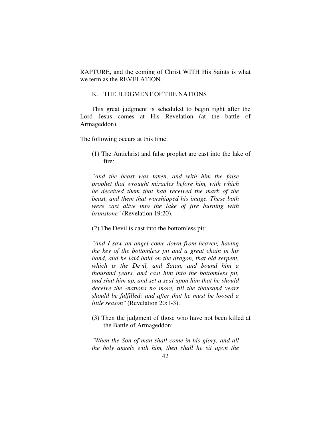RAPTURE, and the coming of Christ WITH His Saints is what we term as the REVELATION.

## K. THE JUDGMENT OF THE NATIONS

This great judgment is scheduled to begin right after the Lord Jesus comes at His Revelation (at the battle of Armageddon).

The following occurs at this time:

(1) The Antichrist and false prophet are cast into the lake of fire:

*"And the beast was taken, and with him the false prophet that wrought miracles before him, with which he deceived them that had received the mark of the beast, and them that worshipped his image. These both were cast alive into the lake of fire burning with brimstone"* (Revelation 19:20).

(2) The Devil is cast into the bottomless pit:

*"And I saw an angel come down from heaven, having the key of the bottomless pit and a great chain in his hand, and he laid hold on the dragon, that old serpent, which is the Devil, and Satan, and bound him a thousand years, and cast him into the bottomless pit, and shut him up, and set a seal upon him that he should deceive the -nations no more, till the thousand years should be fulfilled: and after that he must be loosed a little season"* (Revelation 20:1-3).

(3) Then the judgment of those who have not been killed at the Battle of Armageddon:

*"When the Son of man shall come in his glory, and all the holy angels with him, then shall he sit upon the*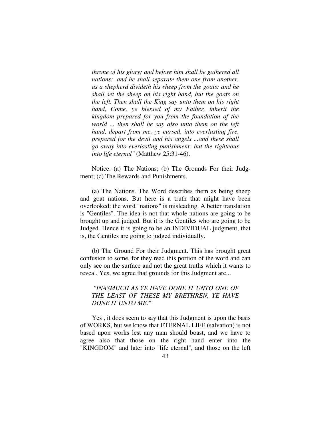*throne of his glory; and before him shall be gathered all nations: .and he shall separate them one from another, as a shepherd divideth his sheep from the goats: and he shall set the sheep on his right hand, but the goats on the left. Then shall the King say unto them on his right hand, Come, ye blessed of my Father, inherit the kingdom prepared for you from the foundation of the world ... then shall he say also unto them on the left hand, depart from me, ye cursed, into everlasting fire, prepared for the devil and his angels ...and these shall go away into everlasting punishment: but the righteous into life eternal"* (Matthew 25:31-46).

Notice: (a) The Nations; (b) The Grounds For their Judgment; (c) The Rewards and Punishments.

(a) The Nations. The Word describes them as being sheep and goat nations. But here is a truth that might have been overlooked: the word "nations" is misleading. A better translation is "Gentiles". The idea is not that whole nations are going to be brought up and judged. But it is the Gentiles who are going to be Judged. Hence it is going to be an INDIVIDUAL judgment, that is, the Gentiles are going to judged individually.

(b) The Ground For their Judgment. This has brought great confusion to some, for they read this portion of the word and can only see on the surface and not the great truths which it wants to reveal. Yes, we agree that grounds for this Judgment are...

## *"INASMUCH AS YE HAVE DONE IT UNTO ONE OF THE LEAST OF THESE MY BRETHREN, YE HAVE DONE IT UNTO ME."*

Yes , it does seem to say that this Judgment is upon the basis of WORKS, but we know that ETERNAL LIFE (salvation) is not based upon works lest any man should boast, and we have to agree also that those on the right hand enter into the "KINGDOM" and later into "life eternal", and those on the left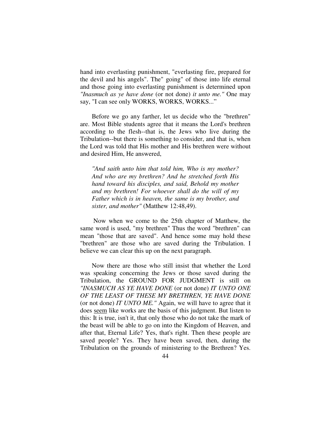hand into everlasting punishment, "everlasting fire, prepared for the devil and his angels". The" going" of those into life eternal and those going into everlasting punishment is determined upon *"Inasmuch as ye have done* (or not done) *it unto me."* One may say, "I can see only WORKS, WORKS, WORKS..."

Before we go any farther, let us decide who the "brethren" are. Most Bible students agree that it means the Lord's brethren according to the flesh--that is, the Jews who live during the Tribulation--but there is something to consider, and that is, when the Lord was told that His mother and His brethren were without and desired Him, He answered,

*"And saith unto him that told him, Who is my mother? And who are my brethren? And he stretched forth His hand toward his disciples, and said, Behold my mother and my brethren! For whoever shall do the will of my Father which is in heaven, the same is my brother, and sister, and mother"* (Matthew 12:48,49).

 Now when we come to the 25th chapter of Matthew, the same word is used, "my brethren" Thus the word "brethren" can mean "those that are saved". And hence some may hold these "brethren" are those who are saved during the Tribulation. I believe we can clear this up on the next paragraph.

Now there are those who still insist that whether the Lord was speaking concerning the Jews or those saved during the Tribulation, the GROUND FOR JUDGMENT is still on *"INASMUCH AS YE HAVE DONE* (or not done) *IT UNTO ONE OF THE LEAST OF THESE MY BRETHREN, YE HAVE DONE*  (or not done) *IT UNTO ME."* Again, we will have to agree that it does seem like works are the basis of this judgment. But listen to this: It is true, isn't it, that only those who do not take the mark of the beast will be able to go on into the Kingdom of Heaven, and after that, Eternal Life? Yes, that's right. Then these people are saved people? Yes. They have been saved, then, during the Tribulation on the grounds of ministering to the Brethren? Yes.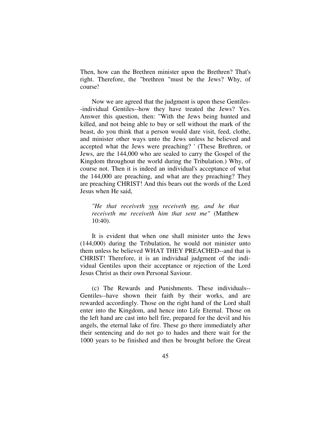Then, how can the Brethren minister upon the Brethren? That's right. Therefore, the "brethren "must be the Jews? Why, of course!

Now we are agreed that the judgment is upon these Gentiles- -individual Gentiles--how they have treated the Jews? Yes. Answer this question, then: "With the Jews being hunted and killed, and not being able to buy or sell without the mark of the beast, do you think that a person would dare visit, feed, clothe, and minister other ways unto the Jews unless he believed and accepted what the Jews were preaching? ' (These Brethren, or Jews, are the 144,000 who are sealed to carry the Gospel of the Kingdom throughout the world during the Tribulation.) Why, of course not. Then it is indeed an individual's acceptance of what the 144,000 are preaching, and what are they preaching? They are preaching CHRIST! And this bears out the words of the Lord Jesus when He said,

*"He that receiveth you receiveth me, and he that receiveth me receiveth him that sent me"* (Matthew 10:40).

It is evident that when one shall minister unto the Jews (144,000) during the Tribulation, he would not minister unto them unless he believed WHAT THEY PREACHED--and that is CHRIST! Therefore, it is an individual judgment of the individual Gentiles upon their acceptance or rejection of the Lord Jesus Christ as their own Personal Saviour.

(c) The Rewards and Punishments. These individuals-- Gentiles--have shown their faith by their works, and are rewarded accordingly. Those on the right hand of the Lord shall enter into the Kingdom, and hence into Life Eternal. Those on the left hand are cast into hell fire, prepared for the devil and his angels, the eternal lake of fire. These go there immediately after their sentencing and do not go to hades and there wait for the 1000 years to be finished and then be brought before the Great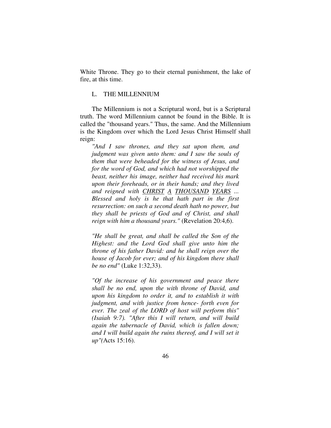White Throne. They go to their eternal punishment, the lake of fire, at this time.

## L. THE MILLENNIUM

The Millennium is not a Scriptural word, but is a Scriptural truth. The word Millennium cannot be found in the Bible. It is called the "thousand years." Thus, the same. And the Millennium is the Kingdom over which the Lord Jesus Christ Himself shall reign:

*"And I saw thrones, and they sat upon them, and judgment was given unto them: and I saw the souls of them that were beheaded for the witness of Jesus, and for the word of God, and which had not worshipped the beast, neither his image, neither had received his mark upon their foreheads, or in their hands; and they lived and reigned with CHRIST A THOUSAND YEARS ... Blessed and holy is he that hath part in the first resurrection: on such a second death hath no power, but they shall be priests of God and of Christ, and shall reign with him a thousand years."* (Revelation 20:4,6).

*"He shall be great, and shall be called the Son of the Highest: and the Lord God shall give unto him the throne of his father David: and he shall reign over the house of Jacob for ever; and of his kingdom there shall be no end"* (Luke 1:32,33).

*"Of the increase of his government and peace there shall be no end, upon the with throne of David, and upon his kingdom to order it, and to establish it with judgment, and with justice from hence- forth even for ever. The zeal of the LORD of host will perform this" (Isaiah 9:7). "After this I will return, and will build again the tabernacle of David, which is fallen down; and I will build again the ruins thereof, and I will set it up"(*Acts 15:16).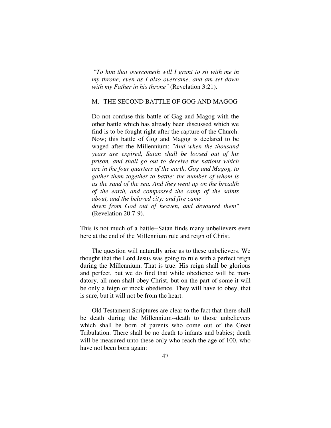*"To him that overcometh will I grant to sit with me in my throne, even as I also overcame, and am set down with my Father in his throne"* (Revelation 3:21).

## M. THE SECOND BATTLE OF GOG AND MAGOG

Do not confuse this battle of Gag and Magog with the other battle which has already been discussed which we find is to be fought right after the rapture of the Church. Now; this battle of Gog and Magog is declared to be waged after the Millennium: *"And when the thousand years are expired, Satan shall be loosed out of his prison, and shall go out to deceive the nations which are in the four quarters of the earth, Gog and Magog, to gather them together to battle: the number of whom is as the sand of the sea. And they went up on the breadth of the earth, and compassed the camp of the saints about, and the beloved city: and fire came down from God out of heaven, and devoured them"* (Revelation 20:7-9).

This is not much of a battle--Satan finds many unbelievers even here at the end of the Millennium rule and reign of Christ.

The question will naturally arise as to these unbelievers. We thought that the Lord Jesus was going to rule with a perfect reign during the Millennium. That is true. His reign shall be glorious and perfect, but we do find that while obedience will be mandatory, all men shall obey Christ, but on the part of some it will be only a feign or mock obedience. They will have to obey, that is sure, but it will not be from the heart.

Old Testament Scriptures are clear to the fact that there shall be death during the Millennium--death to those unbelievers which shall be born of parents who come out of the Great Tribulation. There shall be no death to infants and babies; death will be measured unto these only who reach the age of 100, who have not been born again: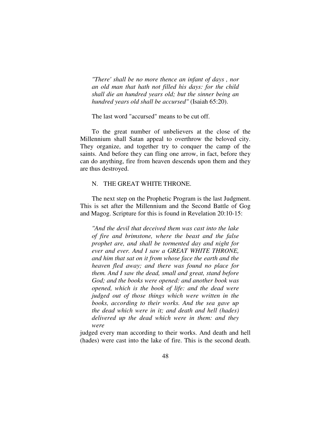*"There' shall be no more thence an infant of days , nor an old man that hath not filled his days: for the child shall die an hundred years old; but the sinner being an hundred years old shall be accursed"* (Isaiah 65:20).

The last word "accursed" means to be cut off.

To the great number of unbelievers at the close of the Millennium shall Satan appeal to overthrow the beloved city. They organize, and together try to conquer the camp of the saints. And before they can fling one arrow, in fact, before they can do anything, fire from heaven descends upon them and they are thus destroyed.

## N. THE GREAT WHITE THRONE.

The next step on the Prophetic Program is the last Judgment. This is set after the Millennium and the Second Battle of Gog and Magog. Scripture for this is found in Revelation 20:10-15:

*"And the devil that deceived them was cast into the lake of fire and brimstone, where the beast and the false prophet are, and shall be tormented day and night for ever and ever. And I saw a GREAT WHITE THRONE, and him that sat on it from whose face the earth and the heaven fled away; and there was found no place for them. And I saw the dead, small and great, stand before God; and the books were opened: and another book was opened, which is the book of life: and the dead were judged out of those things which were written in the books, according to their works. And the sea gave up the dead which were in it; and death and hell (hades) delivered up the dead which were in them: and they were* 

judged every man according to their works. And death and hell (hades) were cast into the lake of fire. This is the second death.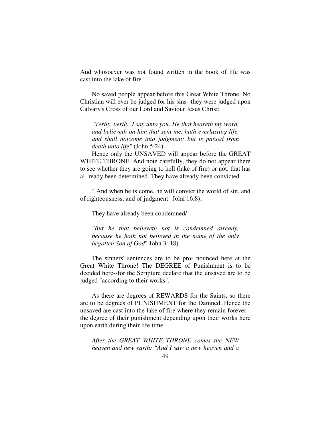And whosoever was not found written in the book of life was cast into the lake of fire."

No saved people appear before this Great White Throne. No Christian will ever be judged for his sins--they were judged upon Calvary's Cross of our Lord and Saviour Jesus Christ:

*"Verily, verily, I say unto you. He that heareth my word, and believeth on him that sent me, hath everlasting life, and shall notcome into judgment; but is passed from death unto life"* (John 5:24).

Hence only the UNSAVED will appear before the GREAT WHITE THRONE. And note carefully, they do not appear there to see whether they are going to hell (lake of fire) or not; that has al- ready been determined. They have already been convicted.

" And when he is come, he will convict the world of sin, and of righteousness, and of judgment" John 16:8);

They have already been condemned/

*"But he that believeth not is condemned already, because he hath not believed in the name of the only begotten Son of God*" John 3: 18).

The sinners' sentences are to be pro- nounced here at the Great White Throne! The DEGREE of Punishment is to be decided here--for the Scripture declare that the unsaved are to be judged "according to their works".

As there are degrees of REWARDS for the Saints, so there are to be degrees of PUNISHMENT for the Damned. Hence the unsaved are cast into the lake of fire where they remain forever- the degree of their punishment depending upon their works here upon earth during their life time.

*After the GREAT WHITE THRONE comes the NEW heaven and new earth: "And I saw a new heaven and a*